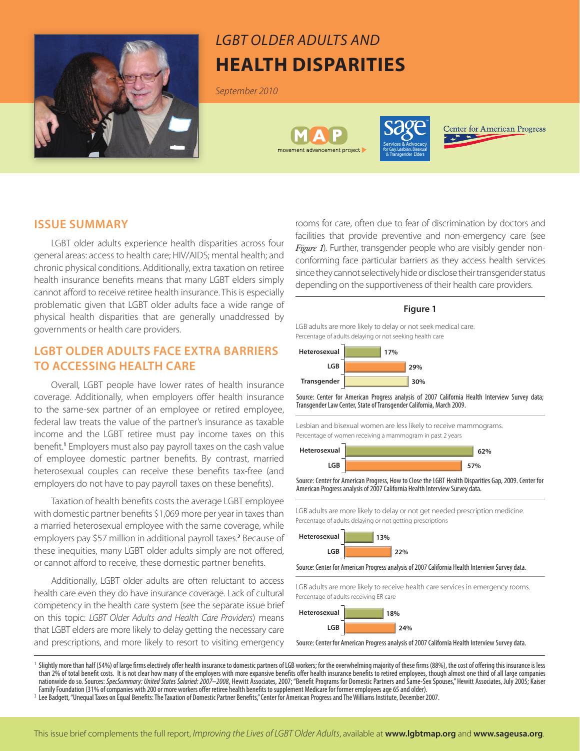

# *LGBT Older Adults and* **Health Disparities**

*September 2010*





**Center for American Progress** 

## **ISSUE SUMMARY**

LGBT older adults experience health disparities across four general areas: access to health care; HIV/AIDS; mental health; and chronic physical conditions. Additionally, extra taxation on retiree health insurance benefits means that many LGBT elders simply cannot afford to receive retiree health insurance. This is especially problematic given that LGBT older adults face a wide range of physical health disparities that are generally unaddressed by governments or health care providers.

# **LGBT OLDER ADULTS FACE EXTRA BARRIERS TO ACCESSING HEALTH CARE**

Overall, LGBT people have lower rates of health insurance coverage. Additionally, when employers offer health insurance to the same-sex partner of an employee or retired employee, federal law treats the value of the partner's insurance as taxable income and the LGBT retiree must pay income taxes on this benefit.**<sup>1</sup>** Employers must also pay payroll taxes on the cash value of employee domestic partner benefits. By contrast, married heterosexual couples can receive these benefits tax-free (and employers do not have to pay payroll taxes on these benefits).

Taxation of health benefits costs the average LGBT employee with domestic partner benefits \$1,069 more per year in taxes than a married heterosexual employee with the same coverage, while employers pay \$57 million in additional payroll taxes.**<sup>2</sup>** Because of these inequities, many LGBT older adults simply are not offered, or cannot afford to receive, these domestic partner benefits.

Additionally, LGBT older adults are often reluctant to access health care even they do have insurance coverage. Lack of cultural competency in the health care system (see the separate issue brief on this topic: *LGBT Older Adults and Health Care Providers*) means that LGBT elders are more likely to delay getting the necessary care and prescriptions, and more likely to resort to visiting emergency

rooms for care, often due to fear of discrimination by doctors and facilities that provide preventive and non-emergency care (see *Figure 1*). Further, transgender people who are visibly gender nonconforming face particular barriers as they access health services since they cannot selectively hide or disclose their transgender status depending on the supportiveness of their health care providers.

#### **Figure 1**

LGB adults are more likely to delay or not seek medical care. Percentage of adults delaying or not seeking health care



Source: Center for American Progress analysis of 2007 California Health Interview Survey data; Transgender Law Center, State of Transgender California, March 2009.

Lesbian and bisexual women are less likely to receive mammograms. Percentage of women receiving a mammogram in past 2 years



Source: Center for American Progress, How to Close the LGBT Health Disparities Gap, 2009. Center for American Progress analysis of 2007 California Health Interview Survey data.

LGB adults are more likely to delay or not get needed prescription medicine. Percentage of adults delaying or not getting prescriptions

**22% 13% Heterosexual LGB**

Source: Center for American Progress analysis of 2007 California Health Interview Survey data.

LGB adults are more likely to receive health care services in emergency rooms. Percentage of adults receiving ER care



Source: Center for American Progress analysis of 2007 California Health Interview Survey data.

<sup>1</sup> Slightly more than half (54%) of large firms electively offer health insurance to domestic partners of LGB workers; for the overwhelming majority of these firms (88%), the cost of offering this insurance is less than 2% of total benefit costs. It is not clear how many of the employers with more expansive benefits offer health insurance benefits to retired employees, though almost one third of all large companies nationwide do so. Sources: SpecSummary: United States Salaried: 2007–2008, Hewitt Associates, 2007; "Benefit Programs for Domestic Partners and Same-Sex Spouses," Hewitt Associates, July 2005; Kaiser Family Foundation (31% of companies with 200 or more workers offer retiree health benefits to supplement Medicare for former employees age 65 and older).

<sup>2</sup> Lee Badgett, "Unequal Taxes on Equal Benefits: The Taxation of Domestic Partner Benefits," Center for American Progress and The Williams Institute, December 2007.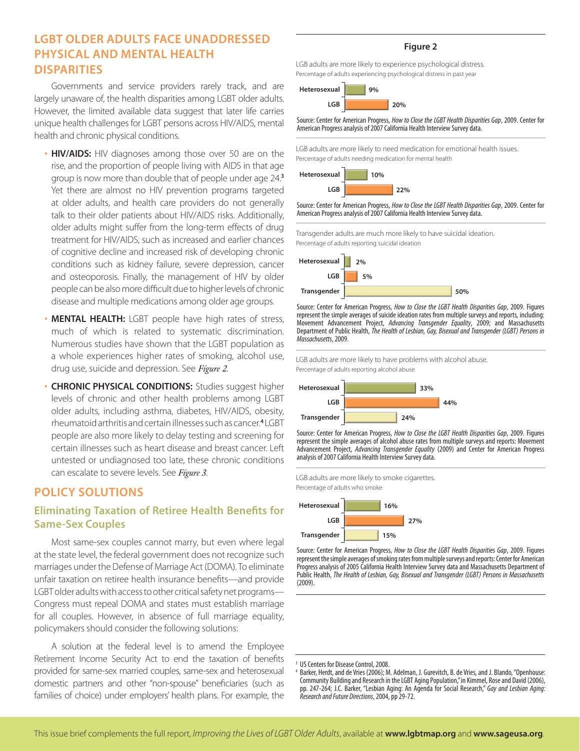# **LGBT OLDER ADULTS FACE UNADDRESSED PHYSICAL AND MENTAL HEALTH DISPARITIES**

Governments and service providers rarely track, and are largely unaware of, the health disparities among LGBT older adults. However, the limited available data suggest that later life carries unique health challenges for LGBT persons across HIV/AIDS, mental health and chronic physical conditions.

- **HIV/AIDS:** HIV diagnoses among those over 50 are on the rise, and the proportion of people living with AIDS in that age group is now more than double that of people under age 24.**<sup>3</sup>** Yet there are almost no HIV prevention programs targeted at older adults, and health care providers do not generally talk to their older patients about HIV/AIDS risks. Additionally, older adults might suffer from the long-term effects of drug treatment for HIV/AIDS, such as increased and earlier chances of cognitive decline and increased risk of developing chronic conditions such as kidney failure, severe depression, cancer and osteoporosis. Finally, the management of HIV by older people can be also more difficult due to higher levels of chronic disease and multiple medications among older age groups.
- **MENTAL HEALTH:** LGBT people have high rates of stress, much of which is related to systematic discrimination. Numerous studies have shown that the LGBT population as a whole experiences higher rates of smoking, alcohol use, drug use, suicide and depression. See *Figure 2*.
- **CHRONIC PHYSICAL CONDITIONS:** Studies suggest higher levels of chronic and other health problems among LGBT older adults, including asthma, diabetes, HIV/AIDS, obesity, rheumatoid arthritis and certain illnesses such as cancer.**<sup>4</sup>** LGBT people are also more likely to delay testing and screening for certain illnesses such as heart disease and breast cancer. Left untested or undiagnosed too late, these chronic conditions can escalate to severe levels. See *Figure 3*.

# **POLICY SOLUTIONS**

# **Eliminating Taxation of Retiree Health Benefits for Same-Sex Couples**

Most same-sex couples cannot marry, but even where legal at the state level, the federal government does not recognize such marriages under the Defense of Marriage Act (DOMA). To eliminate unfair taxation on retiree health insurance benefits—and provide LGBT older adults with access to other critical safety net programs— Congress must repeal DOMA and states must establish marriage for all couples. However, in absence of full marriage equality, policymakers should consider the following solutions:

A solution at the federal level is to amend the Employee Retirement Income Security Act to end the taxation of benefits provided for same-sex married couples, same-sex and heterosexual domestic partners and other "non-spouse" beneficiaries (such as families of choice) under employers' health plans. For example, the

#### **Figure 2**

LGB adults are more likely to experience psychological distress. Percentage of adults experiencing psychological distress in past year



Source: Center for American Progress, *How to Close the LGBT Health Disparities Gap*, 2009. Center for American Progress analysis of 2007 California Health Interview Survey data.

LGB adults are more likely to need medication for emotional health issues. Percentage of adults needing medication for mental health



Source: Center for American Progress, *How to Close the LGBT Health Disparities Gap*, 2009. Center for American Progress analysis of 2007 California Health Interview Survey data.

Transgender adults are much more likely to have suicidal ideation. Percentage of adults reporting suicidal ideation



Source: Center for American Progress, *How to Close the LGBT Health Disparities Gap*, 2009. Figures represent the simple averages of suicide ideation rates from multiple surveys and reports, including: Movement Advancement Project, *Advancing Transgender Equality*, 2009; and Massachusetts Department of Public Health, *The Health of Lesbian, Gay, Bisexual and Transgender (LGBT) Persons in Massachusetts*, 2009.

LGB adults are more likely to have problems with alcohol abuse. Percentage of adults reporting alcohol abuse



Source: Center for American Progress, *How to Close the LGBT Health Disparities Gap*, 2009. Figures represent the simple averages of alcohol abuse rates from multiple surveys and reports: Movement Advancement Project, *Advancing Transgender Equality* (2009) and Center for American Progress analysis of 2007 California Health Interview Survey data.





Source: Center for American Progress, *How to Close the LGBT Health Disparities Gap*, 2009. Figures represent the simple averages of smoking rates from multiple surveys and reports: Center for American Progress analysis of 2005 California Health Interview Survey data and Massachusetts Department of Public Health, *The Health of Lesbian, Gay, Bisexual and Transgender (LGBT) Persons in Massachusetts* (2009).

US Centers for Disease Control, 2008.

Barker, Herdt, and de Vries (2006); M. Adelman, J. Gurevitch, B. de Vries, and J. Blando, "Openhouse: Community Building and Research in the LGBT Aging Population," in Kimmel, Rose and David (2006), pp. 247-264; J.C. Barker, "Lesbian Aging: An Agenda for Social Research," *Gay and Lesbian Aging: Research and Future Directions*, 2004, pp 29-72.